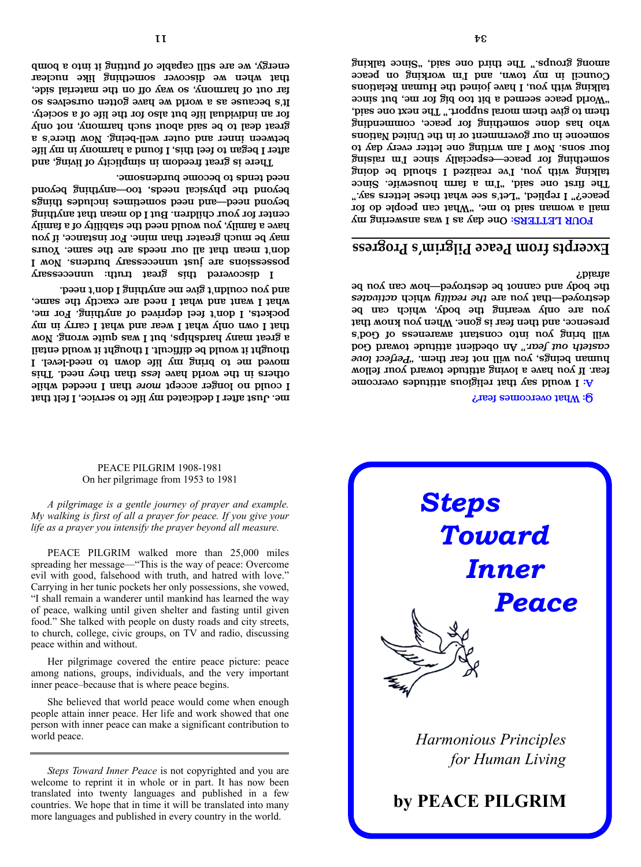*Steps Toward Inner Peace* is not copyrighted and you are welcome to reprint it in whole or in part. It has now been translated into twenty languages and published in a few countries. We hope that in time it will be translated into many more languages and published in every country in the world.

She believed that world peace would come when enough people attain inner peace. Her life and work showed that one person with inner peace can make a significant contribution to world peace.

peace within and without. Her pilgrimage covered the entire peace picture: peace among nations, groups, individuals, and the very important inner peace–because that is where peace begins.

PEACE PILGRIM walked more than 25,000 miles spreading her message—"This is the way of peace: Overcome evil with good, falsehood with truth, and hatred with love." Carrying in her tunic pockets her only possessions, she vowed, "I shall remain a wanderer until mankind has learned the way of peace, walking until given shelter and fasting until given food." She talked with people on dusty roads and city streets, to church, college, civic groups, on TV and radio, discussing

*A pilgrimage is a gentle journey of prayer and example. My walking is first of all a prayer for peace. If you give your life as a prayer you intensify the prayer beyond all measure.*

PEACE PILGRIM 1908-1981 On her pilgrimage from 1953 to 1981

me. Just after I dedicated my life to service, I felt that I could no longer accept more than I needed while others in the world have less than the world have weed. moved me to bring my life down to need-level. I thought it would be difficult. I thought it would entail a great many hardships, but I was quite wrong. Now that I own only what I wear and what I carry in  $\alpha$ pockets, I don't feel deprived of anything. For me, what I want and what I need are exactly the same, and you couldn't give me anything I don't need.

I discovered this great truth: unnecessary possessions are just unnecessary burdens. Now I don't mean that all our needs are the same. Yours may be much greater than mine. For instance, if you have a family, you would need the stability of a family center for your children. But I do mean that anything beyond need—sure heed sometimes includes things pcyond the physical needs, too—anything beyond need tends to become purdensome.

There is great freedom in simplicity of living, and atter I began to feel this, I cunot a harmony in the between inner and outer well-being. Now there's a great deal to be said about such harmony, not only for an individual life but also for the life of a society. It's because as a world we have gotten ourselves so far out of harmony, so way off on the material side, that when we discover something like nuclear energy, we are still capable of putting it into a bomb

**by PEACE PILGRIM**

*Harmonious Principles for Human Living*



#### Q: What overcomes fear?

A: I would say that religious attitudes overcome fear. If you have a loving attitude toward your fellow *"Perfect love* human beings, you will not fear them. casteth out fear." An obedient attitude toward God will bring you into constant awareness of God's property of God's presence, and then fear is gone. When you know that you are only wearing the body, which can be *actionary activation activates* which which *activates* the body and cannot be destroyed—how can you be afraid?

## **Peace Pilgrim's Progress Excerpts from**

FOUR LETTERS: One day as I was answering my mail a woman said to me, "What can people do for peace?" I replied, "Let's see what these letters say." The first one said. The firm housewife. Since talking with you, I've realized I should be doing something for peace—especially since I'm raising four sons. Now I am writing one letter every day to suor in the United Nations someone in the United Nations who has done something for peace, commending then to give them moral support." The next one said, world peace seemed a bit too big out and since talking with you, I have joined the Human Relations Council in my town, and I'm working on peace among groups." The third one said. "Since talking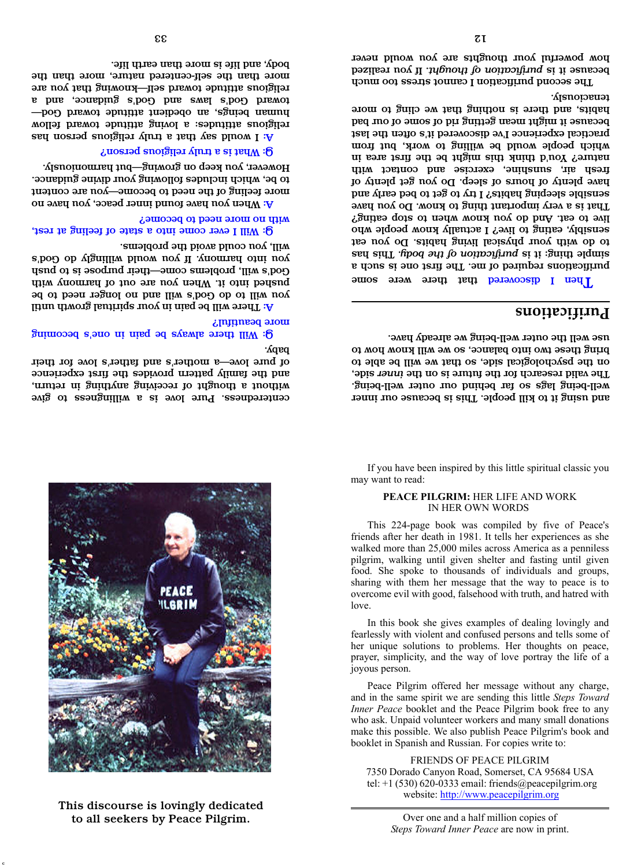This discourse is lovingly dedicated to all seekers by Peace Pilgrim.

Over one and a half million copies of *Steps Toward Inner Peace* are now in print.

*Inner Peace* booklet and the Peace Pilgrim book free to any who ask. Unpaid volunteer workers and many small donations make this possible. We also publish Peace Pilgrim's book and booklet in Spanish and Russian. For copies write to:

FRIENDS OF PEACE PILGRIM 7350 Dorado Canyon Road, Somerset, CA 95684 USA

 tel: +1 (530) 620-0333 email: friends@peacepilgrim.org website: http://www.peacepilgrim.org

Peace Pilgrim offered her message without any charge, and in the same spirit we are sending this little *Steps Toward*

In this book she gives examples of dealing lovingly and fearlessly with violent and confused persons and tells some of her unique solutions to problems. Her thoughts on peace, prayer, simplicity, and the way of love portray the life of a joyous person.

This 224-page book was compiled by five of Peace's friends after her death in 1981. It tells her experiences as she walked more than 25,000 miles across America as a penniless pilgrim, walking until given shelter and fasting until given food. She spoke to thousands of individuals and groups, sharing with them her message that the way to peace is to overcome evil with good, falsehood with truth, and hatred with love.

#### **PEACE PILGRIM:** HER LIFE AND WORK IN HER OWN WORDS

If you have been inspired by this little spiritual classic you may want to read:

and using it to kill people. This is because our inner well-being lags so far behind our outer well-being. The valid research for the future is on the inner side, on the psychological side, so that we will be able to bring these two into balance, so we will know how to use well the outer well-being we already have.

## **Purifications**

I hen I discovered that there were some purifications required of me. The first one is a form a seu simple this is had *pourification of the body* simple has **purificated** to do with your physical living habits. Do you eat scualpy, eating to live? I actually know people who live to eat. And do you know when to stop eating? That is a very important thing to know. Do you have sensible sleeping habits? I try to get to bed early and have plenty of hours of sleep. Do you get plenty of fresh air, sunshine, exercise and contact with nature? You'd think this might be the first area in which people would be willing to work, but from practical experience I've discovered it's often the last because it might mean getting nid of our our bad habits, and there is nothing that we cling to more tenaciously.

The second purification I cannot stress too much pecause it is purification of thought. If you realized power and would never hought are you would never



c

and the family pattern provides the first experience of pure love—a mother's and father's love for their baby. A: There will be pain in your spiritual growth until

centeredness. Pure love is a willingness to give without a thought of receiving anything in return,

Q: Will there always be pain in one's becoming more beautiful?

you will to do God's will and no longer need to be pushed into it. When you are out of harmony with God's will, problems come—their purpose is to push you into harmony. If you would willing do God's will, you could avoid the problems.

Q: Will I ever come into a state of feeling at rest, with no more need to become?

When you have found inner peace, you have no A: more feeling of the need to become—you are content to be, which includes following your divine guidance. However, you keep on growing—but harmoniously.

#### Q: What is a truly religious person?

 $V$  i would say that a truly religious person has religious attitudes: a loving attitude toward fellow human beings, an obedient attitude toward God toward God's laws and God's guidance, and a religious attitude toward self—knowing that you are more than the self-centered nature, more than the body, and life is more than earth life.

33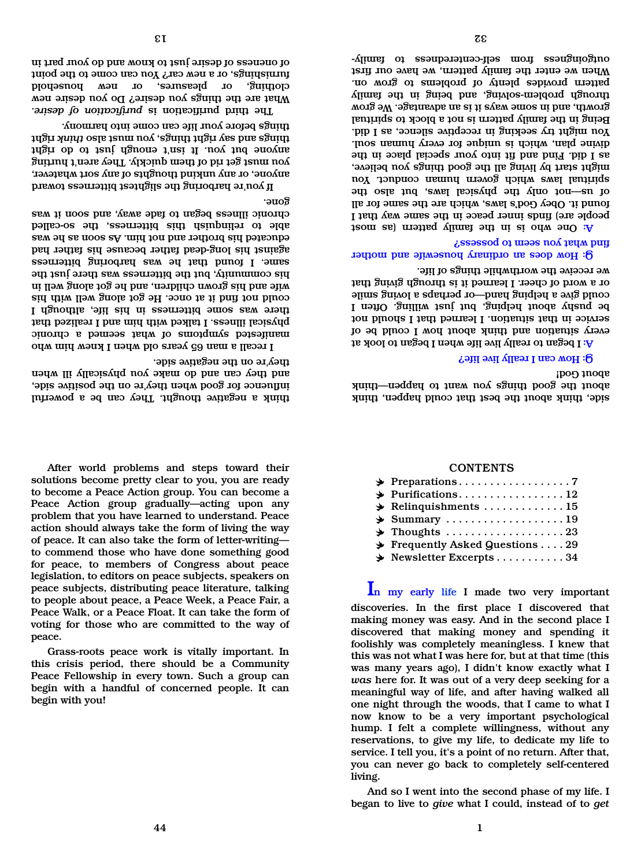Grass-roots peace work is vitally important. In this crisis period, there should be a Community Peace Fellowship in every town. Such a group can begin with a handful of concerned people. It can begin with you!

solutions become pretty clear to you, you are ready to become a Peace Action group. You can become a Peace Action group gradually—acting upon any problem that you have learned to understand. Peace action should always take the form of living the way of peace. It can also take the form of letter-writing to commend those who have done something good for peace, to members of Congress about peace legislation, to editors on peace subjects, speakers on peace subjects, distributing peace literature, talking to people about peace, a Peace Week, a Peace Fair, a Peace Walk, or a Peace Float. It can take the form of voting for those who are committed to the way of peace.

think a negative thought. They can be a powerful influence for good when they're on the positive side, and they can and do make you physically ill when they're on the negative side.

After world problems and steps toward their

I recall a man 65 years old when I knew him who manifested symptoms of what seemed a chronic physical illness. I talked with him and I realized that there was some bitterness in his life, although I could not find it at once. He got along well with his wife and his grown children, and he got along well in his community, but the bitterness was there just the same. I found that he was harboring bitterness against his long-dead father because his father had educated his brother and not him. As soon as he was able to relinquish this bitterness, the so-called chronic illness began to fade away, and soon it was gone.

If you're harboring the slightest bitterness toward anyone, or any unkind thoughts of any sort whatever, you must get rid of them quickly. They aren't hurting ength op of feuld super the fught in the public study of the public study in the public study of the public study of the study of the study of the study of the study of the study of the study of the study of the study of t right *think* things and say right things, you must also things before your life can come into harmony.

*purification of ourification of desire*. What are the things you desire? Do you desire new clothing, or pleasures, or new household furnishings, or a new car? You can come to the point of oneness of desire just to know and do your part in

> you can never go back to completely self-centered living.

> > 1

And so I went into the second phase of my life. I began to live to *give* what I could, instead of to *get*

In my early life I made two very important discoveries. In the first place I discovered that making money was easy. And in the second place I discovered that making money and spending it foolishly was completely meaningless. I knew that this was not what I was here for, but at that time (this was many years ago), I didn't know exactly what I *was* here for. It was out of a very deep seeking for a meaningful way of life, and after having walked all one night through the woods, that I came to what I now know to be a very important psychological hump. I felt a complete willingness, without any reservations, to give my life, to dedicate my life to service. I tell you, it's a point of no return. After that,

 $\blacktriangleright$  Newsletter Excerpts . . . . . . . . . . . 34

- $\blacktriangleright$  Frequently Asked Questions . . . . 29
- $\blacktriangleright$  Thoughts . . . . . . . . . . . . . . . . . . 23
- $\triangleq$  Summary . . . . . . . . . . . . . . . . . . 19
- $\blacktriangleright$  Relinquishments . . . . . . . . . . . . 15
- $\blacktriangleright$  Preparations . . . . . . . . . . . . . . . . . 7  $\blacktriangleright$  Purifications....................12

#### **CONTENTS**

side, think about the best that could happen, think about the good things you want to happen—think about God!

## Q: How can I really live life?

A: I began to really live life when I began to look at about produced be of every situation and the of  $\alpha$ service in that situation. I learned that I should not be pushy about helping, but just willing. Often I could give a helping hand—or perhaps a loving smile or a word of cheer. I learned it is through giving that

#### Q: How does an ordinary housewife and mother ind what you seem to possess?

we receive the worthwhile things of life.

A: One who is in the family pattern (as  $\alpha$ ): people are) finds inner peace in the same way that I found it. Obey God's laws, which are the same for all of us—not only the physical laws, but also the spiritual laws which govern human conduct. You might start by living all the good things you believe, as I did. Find and ift into your special place in the divine plan, which is unique for every human soul. You might try seeking in receptive silence, as I did. Being in the family pattern is not a block to spiritual growth, and in some ways it is an advantage. We grow through problem-solving, and being in the family pattern provides plenty of problems to grow on. When we enter the family pattern, we have our first outgoingness from self-centeredness to family-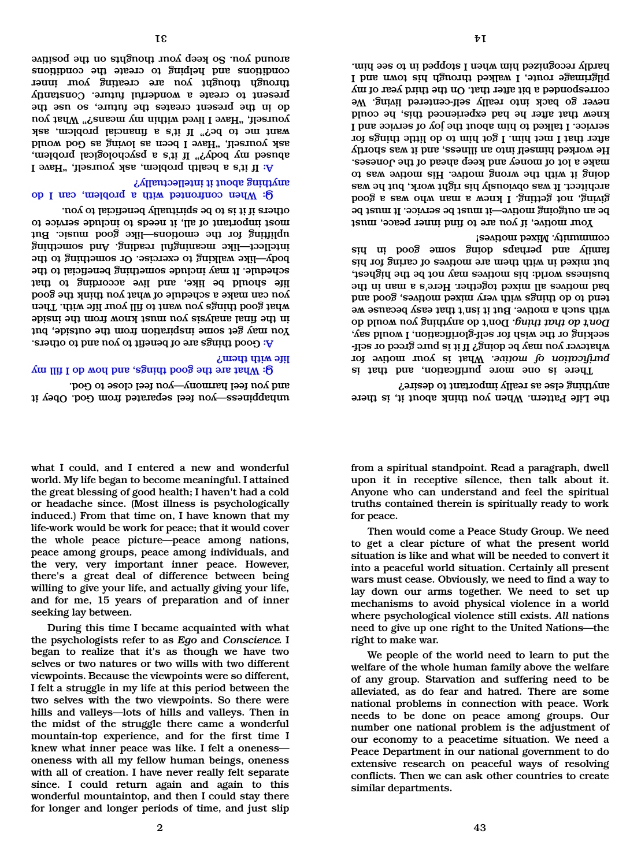the psychologists refer to as *Ego* and *Conscience.* I began to realize that it's as though we have two selves or two natures or two wills with two different viewpoints. Because the viewpoints were so different, I felt a struggle in my life at this period between the two selves with the two viewpoints. So there were hills and valleys—lots of hills and valleys. Then in the midst of the struggle there came a wonderful mountain-top experience, and for the first time I knew what inner peace was like. I felt a oneness oneness with all my fellow human beings, oneness with all of creation. I have never really felt separate since. I could return again and again to this wonderful mountaintop, and then I could stay there for longer and longer periods of time, and just slip

world. My life began to become meaningful. I attained the great blessing of good health; I haven't had a cold or headache since. (Most illness is psychologically induced.) From that time on, I have known that my life-work would be work for peace; that it would cover the whole peace picture—peace among nations, peace among groups, peace among individuals, and the very, very important inner peace. However, there's a great deal of difference between being willing to give your life, and actually giving your life, and for me, 15 years of preparation and of inner seeking lay between.

During this time I became acquainted with what

unhappiness—you feel separated from God. Obey it and you feel harmony—you feel close to God.

what I could, and I entered a new and wonderful

### Q: What are the good things, and how do I fill my life with them?

A: Good things are of benefit to you and to others. You may get some inspiration from the outside, but in the final analysis you must know from the inside what good things you want to fill your life with. Then you can make a schedule of what you think the good life should be like, and live according to that schedule. It may include something beneficial to the body—like walking to exercise. Or something to the intellect—like meaning. Intellect meaning meaning uplifting for the emotions—like good music. But needs important of all, it needs to include service to others if it is to be spiritually beneficial to you.

#### Q: When confronted with a problem, can I do anything about it intellectually?

 $\mathbf{F}$ : If it's a health problem, ask yourself, "Have I apused my body?" If it's a psychological problem, ask yourself, "Have I been as loving as God would want me to be?" If it's a financial problem, ask yourself, "Have I lived within my means?" What you do in the present creates the future, so use the present to create a wonderful future. Constantly through thought you are creating your inner conditions and helping to create the conditions around you. So keep your thoughts on the positive

31

from a spiritual standpoint. Read a paragraph, dwell upon it in receptive silence, then talk about it. Anyone who can understand and feel the spiritual truths contained therein is spiritually ready to work for peace. Then would come a Peace Study Group. We need

to get a clear picture of what the present world situation is like and what will be needed to convert it into a peaceful world situation. Certainly all present wars must cease. Obviously, we need to find a way to lay down our arms together. We need to set up mechanisms to avoid physical violence in a world where psychological violence still exists. *All* nations need to give up one right to the United Nations—the

We people of the world need to learn to put the welfare of the whole human family above the welfare of any group. Starvation and suffering need to be alleviated, as do fear and hatred. There are some national problems in connection with peace. Work needs to be done on peace among groups. Our number one national problem is the adjustment of our economy to a peacetime situation. We need a Peace Department in our national government to do extensive research on peaceful ways of resolving conflicts. Then we can ask other countries to create

right to make war.

similar departments.

the Life Pattern. When you think about it, is there anything else as really important to desire?

There is one more purification, and that is purification of motive What is your motive for whatever you may be doing? If it is pure greed or selfseeking or the wish for self-glorification, I would say, . Don't do anything you would do *Don't do that thing* with such a motive. But it inst that easy because we tend to do things with very mixed motives, good and bad motives all mixed together. Here's a man in the business world: highest, business may not be the highest, eid tot gains to esvitom are motives of caring tot his gin in hoog emos gniob equation bin view during and the view of community. Mixed motives!

Your motive, if you are to find inner peace, must be an outgoing motive—it must be service. It must be giving, not getting. I knew a man who was a good architect. It was obviously his right work, but he was doing it with the wrong motive. His motive was to make a lot of money and keep ahead of the Joneses. He worked himself into an illness, and it was shortly after that I met him. I got him to do little things for service. I talked to him about the joy of service and I knew that after he had experienced this, he could never go back into really self-centered living. We corresponded a bit after that. On the third year of my pilgrimage route, I walked through his town and I hardly recognized him when I stopped in to see him.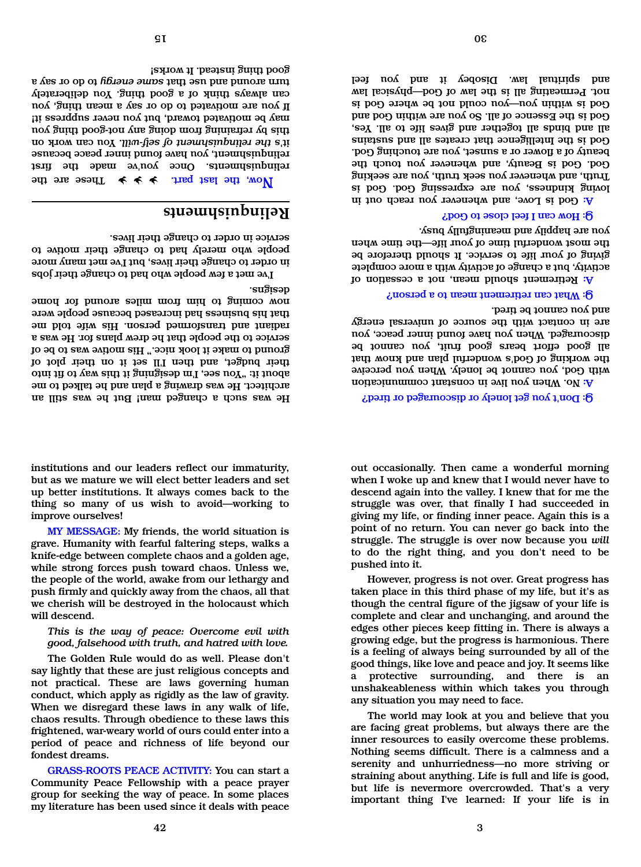GRASS-ROOTS PEACE ACTIVITY: You can start a Community Peace Fellowship with a peace prayer group for seeking the way of peace. In some places my literature has been used since it deals with peace

*good, falsehood with truth, and hatred with love.* The Golden Rule would do as well. Please don't say lightly that these are just religious concepts and not practical. These are laws governing human conduct, which apply as rigidly as the law of gravity. When we disregard these laws in any walk of life, chaos results. Through obedience to these laws this frightened, war-weary world of ours could enter into a period of peace and richness of life beyond our fondest dreams.

MY MESSAGE: My friends, the world situation is grave. Humanity with fearful faltering steps, walks a knife-edge between complete chaos and a golden age, while strong forces push toward chaos. Unless we, the people of the world, awake from our lethargy and push firmly and quickly away from the chaos, all that we cherish will be destroyed in the holocaust which will descend.

*This is the way of peace: Overcome evil with*

institutions and our leaders reflect our immaturity, but as we mature we will elect better leaders and set up better institutions. It always comes back to the thing so many of us wish to avoid—working to improve ourselves!

He was such a changed man! But he was still an architect. He was drawing a plan and he talked to me ant it: "You see, I'm designing it this way to fit in de their budget, and then I'll set it on their plot of ground to make it look nice." His motive was to be of service to the people that he drew plans for. He was a radiant and transformed person. His wife told me that his business had increased because people were now coming to him from miles around for home

designs.

I've met a few people who had to change their jobs in order to change their lives, but I've met many more people who merely had to change their motive to service in order to change their lives.

## **Relinquishments**

Wow, the last part  $\star \star \star \star$  These are the relinquishments. Once you've made the first reling inner you have found inner peace because it's the relinquishment of self-will. It are not on work on this by refraining from doing any not-good thing you may be motivated toward, but you never suppress it! If you are motivated to do or say a mean thing, you can always think of a good thing. You deliberately to do or say a *sume sume say a say a say a say a say a say a say a say a say a say a say a say a say a say a say a say a say a say a say a say a say a say a say a say a say* good thing instead. It works!

> out occasionally. Then came a wonderful morning when I woke up and knew that I would never have to descend again into the valley. I knew that for me the struggle was over, that finally I had succeeded in giving my life, or finding inner peace. Again this is a point of no return. You can never go back into the struggle. The struggle is over now because you *will* to do the right thing, and you don't need to be pushed into it. However, progress is not over. Great progress has taken place in this third phase of my life, but it's as

though the central figure of the jigsaw of your life is complete and clear and unchanging, and around the edges other pieces keep fitting in. There is always a growing edge, but the progress is harmonious. There is a feeling of always being surrounded by all of the good things, like love and peace and joy. It seems like a protective surrounding, and there is an unshakeableness within which takes you through

any situation you may need to face.

3

The world may look at you and believe that you are facing great problems, but always there are the inner resources to easily overcome these problems. Nothing seems difficult. There is a calmness and a serenity and unhurriedness—no more striving or straining about anything. Life is full and life is good, but life is nevermore overcrowded. That's a very important thing I've learned: If your life is in

#### $\Theta$ : Dou't you get lonely or discouraged or tired?

A: No. When you live in constant communication with God, you cannot be lonely. When you perceive the working of God's wonderful plan and know that all good effort bears good fruit, you cannot be discouraged. When you have found inner peace, you are in contact with the source of universal energy and you cannot be tired.

#### Q: What can retirement mean to a person?

 $\mathbf{w}$ : Retirement should mean, not a cessation of activity, but a change of activity with a more complete giving of your life to service. It should therefore be the most wonderful time of your life—the time when you are happily and meaningfully busy.

#### Q: How can I feel close to God?

 $\mathbf{F}$ : God is Love, and whenever you reach out in loving kindness, you are expressing God. God. is Truth, and whenever you seek truth, you are seeking God. God is Beauty, and whenever you touch the beauty of a flower or a sunset, you are touching God. God is the Intelligence that creates all and sustains all and binds all together and gives life to all. Yes, God is the Essence of all. So you are within God and God is within you-you could not be where God is not. Permeating all is the law of God—physical law and spiritual law. Disobey it and you feel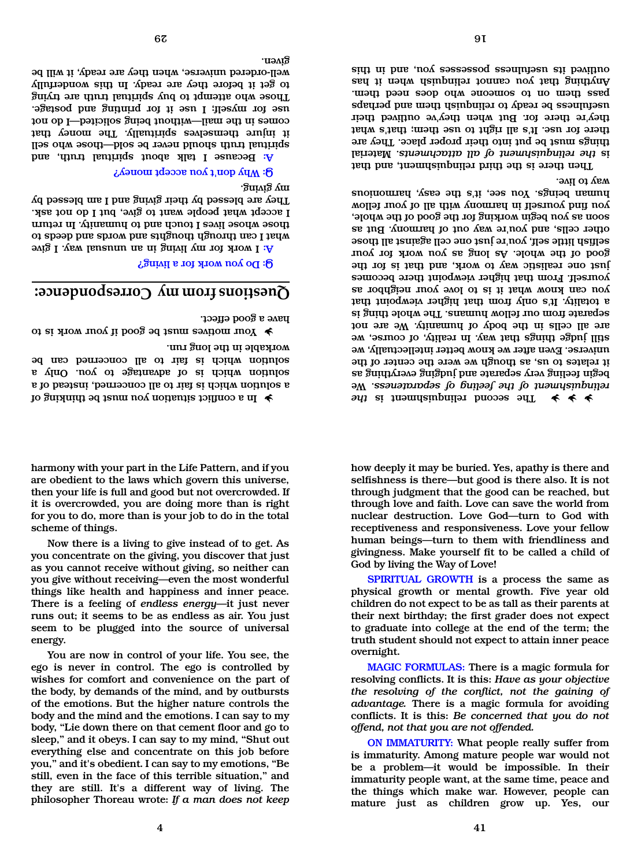ego is never in control. The ego is controlled by wishes for comfort and convenience on the part of the body, by demands of the mind, and by outbursts of the emotions. But the higher nature controls the body and the mind and the emotions. I can say to my body, "Lie down there on that cement floor and go to sleep," and it obeys. I can say to my mind, "Shut out everything else and concentrate on this job before you," and it's obedient. I can say to my emotions, "Be still, even in the face of this terrible situation," and they are still. It's a different way of living. The philosopher Thoreau wrote: *If a man does not keep*

Now there is a living to give instead of to get. As you concentrate on the giving, you discover that just as you cannot receive without giving, so neither can you give without receiving—even the most wonderful things like health and happiness and inner peace. There is a feeling of *endless energy*—it just never runs out; it seems to be as endless as air. You just seem to be plugged into the source of universal energy.

You are now in control of your life. You see, the

harmony with your part in the Life Pattern, and if you are obedient to the laws which govern this universe, then your life is full and good but not overcrowded. If it is overcrowded, you are doing more than is right for you to do, more than is your job to do in the total scheme of things.

 $\ast$  In a conflict situation you must be thinking of a solution which is fair to all concerned, instead of a solution which is or separated to you. Only a solution which is fair to all concerned can be workable in the long run.

 $\leftrightarrow$  Your motives must be good if your work is to have a good effect.

## **Correspondence: Questions from my**

#### Q: Do you work for a living?

A: I work for my living in an unusual way. I give what I can through though the and what I can be deeds to those whose lives I touch and to humanity. In return I accept what people want to give, but I do not ask. They are blessed by their giving and I am blessed by my giving.

### Q: Why don't you accept money?

A: Because I talk about spiritual truth, and spiritual truth should never be sold—those who sell it injure themselves spiritually. The money that comes in the mail—without being solicited—I do not for printing and postage. use for myself; I use it Those who attempt to buy spiritual truth are trying to get it before they are ready. In this wonderfully well-ordered universe, when they are ready, it will be <sup>e</sup>ireir.

29

*offend, not that you are not offended.* ON IMMATURITY: What people really suffer from is immaturity. Among mature people war would not be a problem—it would be impossible. In their immaturity people want, at the same time, peace and the things which make war. However, people can mature just as children grow up. Yes, our

41

their next birthday; the first grader does not expect to graduate into college at the end of the term; the truth student should not expect to attain inner peace overnight. MAGIC FORMULAS: There is a magic formula for resolving conflicts. It is this: *Have as your objective the resolving of the conflict, not the gaining of*

*advantage.* There is a magic formula for avoiding conflicts. It is this: *Be concerned that you do not*

nuclear destruction. Love God—turn to God with receptiveness and responsiveness. Love your fellow human beings—turn to them with friendliness and givingness. Make yourself fit to be called a child of God by living the Way of Love! SPIRITUAL GROWTH is a process the same as physical growth or mental growth. Five year old children do not expect to be as tall as their parents at

how deeply it may be buried. Yes, apathy is there and selfishness is there—but good is there also. It is not through judgment that the good can be reached, but through love and faith. Love can save the world from

and at the second relinquishment is the . We *relinquishment of the feeling of separateness* begin feeling very separate and judging everything as it relates to us, as though we were the center of the universe. Even after we know better intellectually, we still judge things that way. In reality, of course, we are all cells in the body of humanity. We are not separate from our fellow humans. The whole thing is a totality. It's only from that higher viewpoint that you can know what it is to love your neighbor as yourself. From that higher viewpoint there becomes just one realistic way to work, and that is for the good of the whole. As long as you work for your selfish little self, you're just one cell against all those other cells, and you're way out of harmony. But as rous as you begin working for the good of the whole, you find yourself in harmony with all of your fellow human beings. You see, it's the easy, harmonious way to live.

Then their is the third relinquishment, and that . Material *the relinquishment of all attachments* is things must be put into their proper place. They are there for use. It's all right to use them; that's what they're there for. But when they've outlived their alish them and perhaps to ready to respect to the mediate sets be ready to ready to ready sets be ready to rea e who does need them. The who does need them. Anything that you cannot relinquish when it has sith it bus the sessessed sseulures it people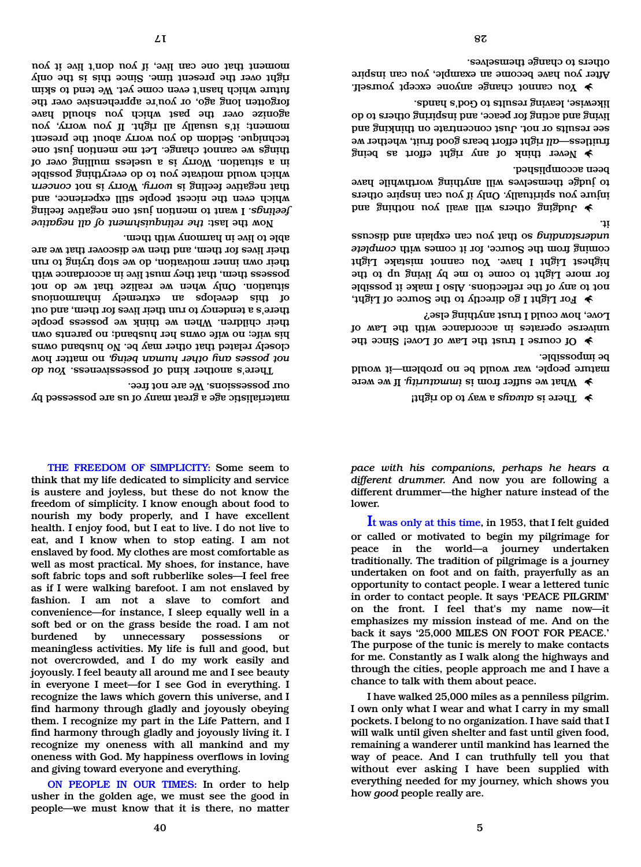ON PEOPLE IN OUR TIMES: In order to help usher in the golden age, we must see the good in people—we must know that it is there, no matter

soft fabric tops and soft rubberlike soles—I feel free as if I were walking barefoot. I am not enslaved by fashion. I am not a slave to comfort and convenience—for instance, I sleep equally well in a soft bed or on the grass beside the road. I am not burdened by unnecessary possessions or meaningless activities. My life is full and good, but not overcrowded, and I do my work easily and joyously. I feel beauty all around me and I see beauty in everyone I meet—for I see God in everything. I recognize the laws which govern this universe, and I find harmony through gladly and joyously obeying them. I recognize my part in the Life Pattern, and I find harmony through gladly and joyously living it. I recognize my oneness with all mankind and my oneness with God. My happiness overflows in loving and giving toward everyone and everything.

materialistic age a great many of us are possessed by our possessions. We are not free.

THE FREEDOM OF SIMPLICITY: Some seem to think that my life dedicated to simplicity and service is austere and joyless, but these do not know the freedom of simplicity. I know enough about food to nourish my body properly, and I have excellent health. I enjoy food, but I eat to live. I do not live to eat, and I know when to stop eating. I am not enslaved by food. My clothes are most comfortable as well as most practical. My shoes, for instance, have

*You do nother kind of possessiveness. You do* nou refers and other noning and *nou reference pour any more* closely related that other may be. No husband owns his wife; no wife owns her husband; no parents own their children. When we think we possess people there's a tendency to run their lives for them, and out of this develops an extremely inharmonious realize that we control on that we do not hossess them, that the must live in accordance with their own inner motivation, do we stop trying to run their lives for them, and then we discover that we are able to live in harmony with them.

*the reliation of proment of a reliable and the sample all negative* . I want to mention just one negative feeling *feelings* which even the nicest people still experience, and that negative feeling is worry. Worry is not concern which would motivate you to do everything possible in a situation. Worry is a useless mulling over of things we cannot change. Let me mention just one technique. Seldom do you worry about the present moment; it's usually all right. If you worry, you agonize over the past which you should have forgotten long ago, or you're apprehensive over the future which hasn't even come yet. We tend to skim right over the present time. Since this is the only moment that one can live, if you don't live it you

I have walked 25,000 miles as a penniless pilgrim. I own only what I wear and what I carry in my small pockets. I belong to no organization. I have said that I will walk until given shelter and fast until given food, remaining a wanderer until mankind has learned the way of peace. And I can truthfully tell you that without ever asking I have been supplied with everything needed for my journey, which shows you how *good* people really are.

5

It was only at this time, in 1953, that I felt guided or called or motivated to begin my pilgrimage for peace in the world—a journey undertaken traditionally. The tradition of pilgrimage is a journey undertaken on foot and on faith, prayerfully as an opportunity to contact people. I wear a lettered tunic in order to contact people. It says 'PEACE PILGRIM' on the front. I feel that's my name now—it emphasizes my mission instead of me. And on the back it says '25,000 MILES ON FOOT FOR PEACE.' The purpose of the tunic is merely to make contacts for me. Constantly as I walk along the highways and through the cities, people approach me and I have a chance to talk with them about peace.

*pace with his companions, perhaps he hears a different drummer.* And now you are following a different drummer—the higher nature instead of the lower.

a There is *duuding* a way to do right!

 $\ast$  What we suffer from is immaturity if we were mature people, war would be no problem—it would be impossible.

 $\ast$  Of course I trust the Law of Love! Since the universe operates in accordance with the Law of Love, how could I trust anything else?

 $\ast$  For Light I go directly to the Source of Light, not to any of the reflections. Also I make it possible for more Light to come to me by living up to the highest Light I have. You cannot mistake Light coming from the Source, for it comes with complete ssnosp pue unedxa ueo noó peqo os *bundupsiapun* it.

 $\ast$  Judging others will avail you nothing and injure you spiritually. Only if you can inspire others to judge themselves will anything worthwhile have been accomplished.

 $\ast$  Never think of any right their as being right effort bears good fruit, whether we *all* fruitless are results or not. Just concentrate on thinking and living and acting for peace, and inspiring others to do likewise, leaving results to God's hands.

• You cannot change anyone except yourself. After you have become an example, you can inspire others to change themselves.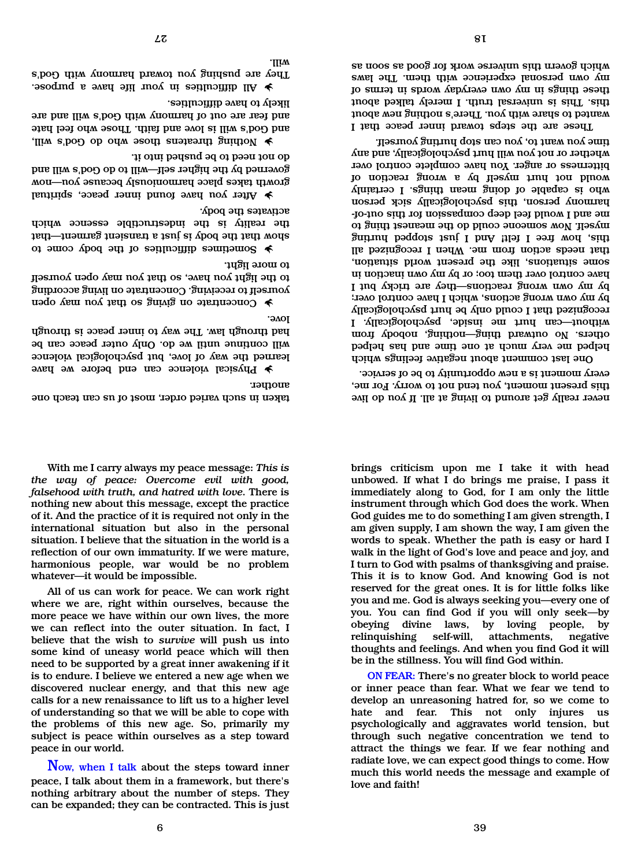Now, when I talk about the steps toward inner peace, I talk about them in a framework, but there's nothing arbitrary about the number of steps. They can be expanded; they can be contracted. This is just

where we are, right within ourselves, because the more peace we have within our own lives, the more we can reflect into the outer situation. In fact, I believe that the wish to *survive* will push us into some kind of uneasy world peace which will then need to be supported by a great inner awakening if it is to endure. I believe we entered a new age when we discovered nuclear energy, and that this new age calls for a new renaissance to lift us to a higher level of understanding so that we will be able to cope with the problems of this new age. So, primarily my subject is peace within ourselves as a step toward peace in our world.

With me I carry always my peace message: *This is the way of peace: Overcome evil with good, falsehood with truth, and hatred with love*. There is nothing new about this message, except the practice of it. And the practice of it is required not only in the international situation but also in the personal situation. I believe that the situation in the world is a reflection of our own immaturity. If we were mature, harmonious people, war would be no problem whatever—it would be impossible.

All of us can work for peace. We can work right

taken in such varied order, most of us can teach one another.

• Physical violence can end before we have learned the way of love, but psychological violence will continue until we do. Only outer peace can be had through law. The way to inner peace is through love.

 $\ast$  Concentrate on giving so that you may open yourself to receiving. Concentrate on living according to the light you have, so that you may open yourself to more light.

 $\ast$  Sometimes difficulties of the body come to show that the body is just a transient garment—that the indestructible essence which activates the body.

 $\blacktriangleright$  After you have found inner peace, spiritual growth takes place harmoniously because you—now governed by the higher self—will to do God's will and do not need to be pushed into it.

 $\star$  Nothing threatens those who do God's will, and God's will is love and faith. Those who feel hate and fear are out of harmony with God's will and are likely to have difficulties.

 $\blacktriangleright$  All difficulties in your life have a purpose. They are pushing you toward harmony with God's will.

27

words to speak. Whether the path is easy or hard I walk in the light of God's love and peace and joy, and I turn to God with psalms of thanksgiving and praise. This it is to know God. And knowing God is not reserved for the great ones. It is for little folks like you and me. God is always seeking you—every one of you. You can find God if you will only seek—by obeying divine laws, by loving people, by relinquishing self-will, attachments, negative thoughts and feelings. And when you find God it will be in the stillness. You will find God within. ON FEAR: There's no greater block to world peace or inner peace than fear. What we fear we tend to develop an unreasoning hatred for, so we come to hate and fear. This not only injures us psychologically and aggravates world tension, but

39

love and faith!

through such negative concentration we tend to attract the things we fear. If we fear nothing and radiate love, we can expect good things to come. How much this world needs the message and example of

never really get around to living at all. If you do live this present moment, you tend not to worry. For me, every moment is a new opportunity to be of service.

brings criticism upon me I take it with head unbowed. If what I do brings me praise, I pass it immediately along to God, for I am only the little instrument through which God does the work. When God guides me to do something I am given strength, I am given supply, I am shown the way, I am given the

One last comment about negative beings which helped me very much at one time and has helped others. No outward thing-nothing, nobody from without—can hurt me inside, psychologically. I recognized that I could only be hurt psychologically by my own wrong actions, which I have control over; by my own wrong reactions—they are tricky but I have control over them too; or by my own inaction in some situations, like the present world situation, that needs action from me. When I recognized all this, how free I felt! And I just stopped hurting myself. Now someone could ob himself thing to me suq I would feel deep compassion for this out-ofharmony person, this psychologically sick person who is capable of doing mean things. I certainly would not hurt myself by a wrong reaction of bitterness or anger. You have complete control over whether or not you will hurt psychologically, and any time you want to, you can stop hurting yourself.

These are the steps toward inner peace that I Wanted to share with you. There's nothing new about this. This is universal truth. I merely talked about the strings in my own everyday words in terms of my own personal experience with them. The laws which govern this universe work for good as as a more as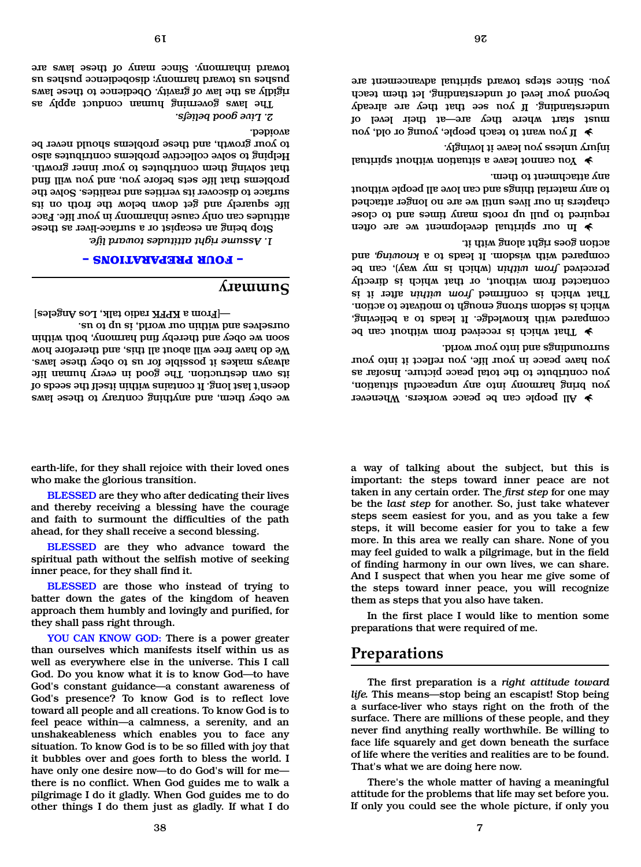well as everywhere else in the universe. This I call God. Do you know what it is to know God—to have God's constant guidance—a constant awareness of God's presence? To know God is to reflect love toward all people and all creations. To know God is to feel peace within—a calmness, a serenity, and an unshakeableness which enables you to face any situation. To know God is to be so filled with joy that it bubbles over and goes forth to bless the world. I have only one desire now—to do God's will for me there is no conflict. When God guides me to walk a pilgrimage I do it gladly. When God guides me to do other things I do them just as gladly. If what I do

BLESSED are those who instead of trying to batter down the gates of the kingdom of heaven approach them humbly and lovingly and purified, for they shall pass right through.

YOU CAN KNOW GOD: There is a power greater than ourselves which manifests itself within us as

BLESSED are they who advance toward the spiritual path without the selfish motive of seeking inner peace, for they shall find it.

and faith to surmount the difficulties of the path ahead, for they shall receive a second blessing.

earth-life, for they shall rejoice with their loved ones who make the glorious transition. BLESSED are they who after dedicating their lives and thereby receiving a blessing have the courage

we obey them, and anything contrary to these laws doesn't last long. It contains within itself the seeds of its own destruction. The good in every human life always makes it possible for us to obey these laws. We do have free will about all this, and therefore how soon we obey and thereby find harmony, both within

world, is up to us. The use of the use is up to us. —[From a KPFK radio talk, Los Angeles]

## **Summary**

#### **– FOUR PREPARATIONS –**

*tudes toward life. 1. Assume right atti*

Stop being an escapist or a surface-liver as these attitudes can only cause inharmony in your life. Face life squarely and get down below the froth on its surface to discover its verities and realities. Solve the problems that life sets before you, and you will find that solving them contributes to your inner growth. Helping to solve collective problems contributes also to your growth, and these problems should never be avoided.

*2. Live good beliefs.* 

The laws governing human conduct apply as rigidly as the law of gravity. Obedience to these laws bushes us poward pushes us toward pushes us to pushed us to pushed us to pushed us to push and the solution of toward inharmony. Since many of these laws are

> There's the whole matter of having a meaningful attitude for the problems that life may set before you. If only you could see the whole picture, if only you

> > 7

The first preparation is a *right attitude toward life.* This means—stop being an escapist! Stop being a surface-liver who stays right on the froth of the surface. There are millions of these people, and they never find anything really worthwhile. Be willing to face life squarely and get down beneath the surface of life where the verities and realities are to be found. That's what we are doing here now.

preparations that were required of me. **Preparations**

may feel guided to walk a pilgrimage, but in the field of finding harmony in our own lives, we can share. And I suspect that when you hear me give some of the steps toward inner peace, you will recognize them as steps that you also have taken. In the first place I would like to mention some

 $\triangleright$   $\triangleright$   $\triangleright$   $\triangleright$   $\triangleright$   $\preceq$   $\triangleright$   $\preceq$   $\preceq$   $\preceq$   $\preceq$   $\preceq$   $\preceq$   $\preceq$   $\preceq$   $\preceq$   $\preceq$   $\preceq$   $\preceq$   $\preceq$   $\preceq$   $\preceq$   $\preceq$   $\preceq$   $\preceq$   $\preceq$   $\preceq$   $\preceq$   $\preceq$   $\preceq$   $\preceq$   $\prece$ any pumper interesting such a mbesceint situation, and interest you contribute to the total peace picture. Insofar as you have peace in your life, you reflect it into your to your pure surprince. The your morld.

a way of talking about the subject, but this is important: the steps toward inner peace are not taken in any certain order. The *first step* for one may be the *last step* for another. So, just take whatever steps seem easiest for you, and as you take a few steps, it will become easier for you to take a few more. In this area we really can share. None of you

 $\ast$  That which is received from without can be compared with knowledge. It leads to a believing, which is seldom strong enough to motivate to action. ai it refla miding with the *from the it is after it is after* contacted from without, or that which is directly her ceived from within is my way), can be compared with wisdom. It leads to a knowing, and action goes right along with it.

 $\ast$  in our spiritual development we are often rednuce to pull up to pull up to close chapters in our lives until we are no longer attached to any material things and can love all people without any attachment to them.

 $\ast$  You cannot leave a situation without spiritual injury unless you leave it lovingly.

 $\ast$  If you want to teach people, young or old, you must start where they are—at their level of understanding. If you see that they are already beyond your level of understanding, let them teach you. Since steps toward spiritual advancement are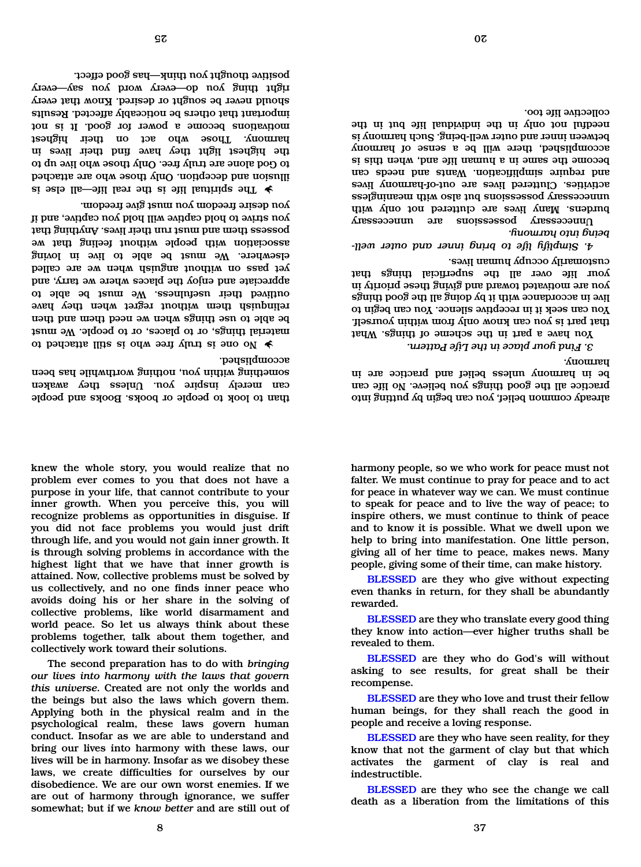The second preparation has to do with *bringing our lives into harmony with the laws that govern this universe*. Created are not only the worlds and the beings but also the laws which govern them. Applying both in the physical realm and in the psychological realm, these laws govern human conduct. Insofar as we are able to understand and bring our lives into harmony with these laws, our lives will be in harmony. Insofar as we disobey these laws, we create difficulties for ourselves by our disobedience. We are our own worst enemies. If we are out of harmony through ignorance, we suffer somewhat; but if we *know better* and are still out of

problem ever comes to you that does not have a purpose in your life, that cannot contribute to your inner growth. When you perceive this, you will recognize problems as opportunities in disguise. If you did not face problems you would just drift through life, and you would not gain inner growth. It is through solving problems in accordance with the highest light that we have that inner growth is attained. Now, collective problems must be solved by us collectively, and no one finds inner peace who avoids doing his or her share in the solving of collective problems, like world disarmament and world peace. So let us always think about these problems together, talk about them together, and collectively work toward their solutions.

than to look to people or books. Books and people can merely inspire you. Unless they awaken thing withing worthwhile has been something with  $\lambda$ accomplished.

knew the whole story, you would realize that no

 $\bullet$  No one is truly free who is still attached to material things, or to places, or to people. We must be able to use things when we need them and then relinquish them without regret when they have outlived their usefulness. We must be able to appreciate and enjoy the places where we tarry, and yet pass on without anguish when we are called elsewhere. We must be able to live in loving association with people without feeling that we possess them and must run their lives. Anything that you strive to hold captive will hold you captive, and if you desire freedom, you must give freedom.

 $\ast$  The spiritual life is the real life—all else is illusion and deception. Only those who are attached to God alone are truly free. Only those who live up to the highest light they have find their lives in harmony. Those who act no their highest motivations become a power for good. It is not important that others be noticeably affected. Results should never be sought or desired. Know that every right thing you do—every word you say—every positive thought you think—has good effect.

25

harmony people, so we who work for peace must not falter. We must continue to pray for peace and to act for peace in whatever way we can. We must continue to speak for peace and to live the way of peace; to inspire others, we must continue to think of peace and to know it is possible. What we dwell upon we help to bring into manifestation. One little person, giving all of her time to peace, makes news. Many people, giving some of their time, can make history. BLESSED are they who give without expecting

already common belief, you can begin by putting into practice all the good things you believe. No life can be in harmony unless belief and practice are in harmony.

*3. Find your place in the Life Pattern.* 

You have a part in the scheme of things. What that is you can know only from within yourself. You can seek it in receptive silence. You can begin to live in accordance with it by doing all the good things you are motivated toward and giving these priority in your life over all the superficial things that customarily occupy human lives.

*ing inner and outer well- 4. Simplify life to br being into harmony.* 

Unnecessary possessions are unnecessary possession burdens. Many lives are cluttered not only with ssalgnings union with meaningless activities. Cluttered lives are out-of-harmony lives and require simplification. Wants and needs can hecome the same in a human life and, when this is accomplished, there will be a sense of harmony between inner and outer well-being. Such harmony is needful not only in the individual life but in the collective life too.

BLESSED are they who do God's will without asking to see results, for great shall be their recompense. BLESSED are they who love and trust their fellow

human beings, for they shall reach the good in

people and receive a loving response.

BLESSED are they who translate every good thing they know into action—ever higher truths shall be revealed to them.

even thanks in return, for they shall be abundantly

rewarded.

indestructible.

BLESSED are they who see the change we call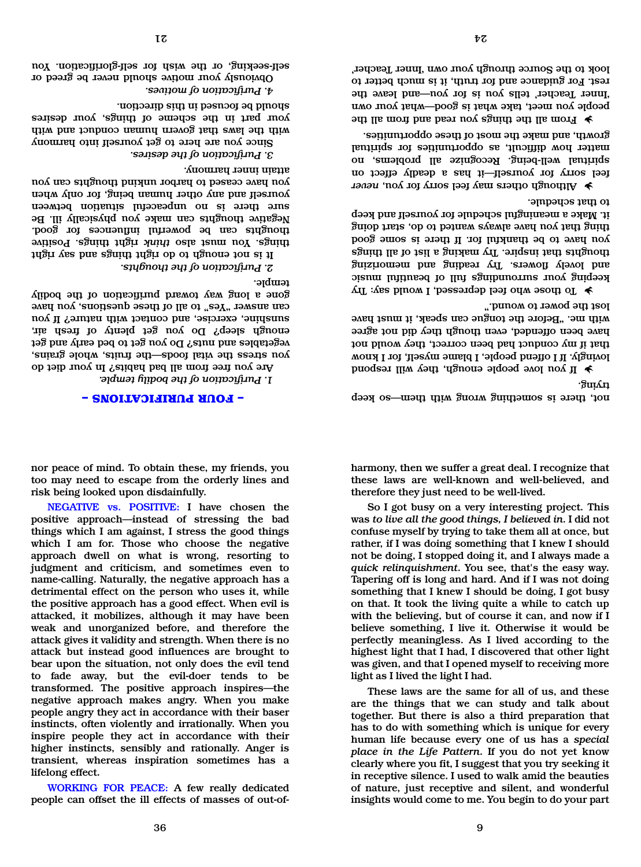WORKING FOR PEACE: A few really dedicated people can offset the ill effects of masses of out-of-

name-calling. Naturally, the negative approach has a detrimental effect on the person who uses it, while the positive approach has a good effect. When evil is attacked, it mobilizes, although it may have been weak and unorganized before, and therefore the attack gives it validity and strength. When there is no attack but instead good influences are brought to bear upon the situation, not only does the evil tend to fade away, but the evil-doer tends to be transformed. The positive approach inspires—the negative approach makes angry. When you make people angry they act in accordance with their baser instincts, often violently and irrationally. When you inspire people they act in accordance with their higher instincts, sensibly and rationally. Anger is transient, whereas inspiration sometimes has a lifelong effect.

nor peace of mind. To obtain these, my friends, you too may need to escape from the orderly lines and risk being looked upon disdainfully.

NEGATIVE vs. POSITIVE: I have chosen the positive approach—instead of stressing the bad things which I am against, I stress the good things which I am for. Those who choose the negative approach dwell on what is wrong, resorting to judgment and criticism, and sometimes even to

**– FOUR PURIFICATIONS –** 

*1. Purification of the bodily temple.* 

Are you free from all bad habits? In your diet do you stress the vital foods—the fruits, whole grains, vegetables and nuts? Do you get to bed early and get enough sleep? Do you get plenty of fresh air, anushine, exercise, and contact with nature? If you can suswer "Yes" to all of these questions, you have gone a long way toward purification of the bodily temple.

*of the thoughts. 2. Purification* 

rught vis blue and the post op of dignous four st if things. You must also think things. Positive thoughts can be powerful influences for good. Negative thoughts can make you physically ill. Be sure there is no unpeaceful situation between yourself and any other human being, for only when you have ceased to harbor unkind thoughts can you attain inner harmony.

*3. Purification of the desires.* 

Since you are here to get yourself into harmony with the laws that govern human conduct and with your part in the scheme of things, your desires

should be focused in this direction.

*4. Purification of motives.*  Obviously your motive should never be greed or self-seeking, or the wish for self-glorification. You

> These laws are the same for all of us, and these are the things that we can study and talk about together. But there is also a third preparation that has to do with something which is unique for every human life because every one of us has a *special place in the Life Pattern*. If you do not yet know clearly where you fit, I suggest that you try seeking it in receptive silence. I used to walk amid the beauties of nature, just receptive and silent, and wonderful insights would come to me. You begin to do your part

> > 9

was *to live all the good things, I believed in*. I did not confuse myself by trying to take them all at once, but rather, if I was doing something that I knew I should not be doing, I stopped doing it, and I always made a *quick relinquishment*. You see, that's the easy way. Tapering off is long and hard. And if I was not doing something that I knew I should be doing, I got busy on that. It took the living quite a while to catch up with the believing, but of course it can, and now if I believe something, I live it. Otherwise it would be perfectly meaningless. As I lived according to the highest light that I had, I discovered that other light was given, and that I opened myself to receiving more light as I lived the light I had.

harmony, then we suffer a great deal. I recognize that these laws are well-known and well-believed, and therefore they just need to be well-lived.

So I got busy on a very interesting project. This

not, there is something wrong with them—so keep trying.

 $\blacktriangleright$  If you love people enough, they will respond lovingly. If I offend people, I blame myself, for I know that if my conduct had been correct, they would not have been offended, even though they did not agree with me. "Before the tongue can speak, it must have lost the power to wound."

 $\ast$  To those who feel depressed, I would say: Try keeping your surrounding a bull of beautiful music and lovely flowers. Try reading and memorizing thought that inspire. The same in all things that in the same in things that in the same in the same in the sa you have to be thankful for. If there is some good thing that you have always wanted to do, start doing it. Make a meaningful schedule for yourself and keep to that schedule.

 $\blacktriangleright$  Although others may feel sorry for you, never feel sorry for yourself—it has a deadly effect on spiritual well-being. Recognize all problems, no matter how difficult, as opportunities for spiritual growth, and make the most of these opportunities.

 $\ast$  From all the things you read and from all the people you meet, take what is good—what your own 'Inner Teacher' tells you is for you—and leave the rest. For guidance and for truth, it is much better to look to the Source through your own 'Inner' leacher'